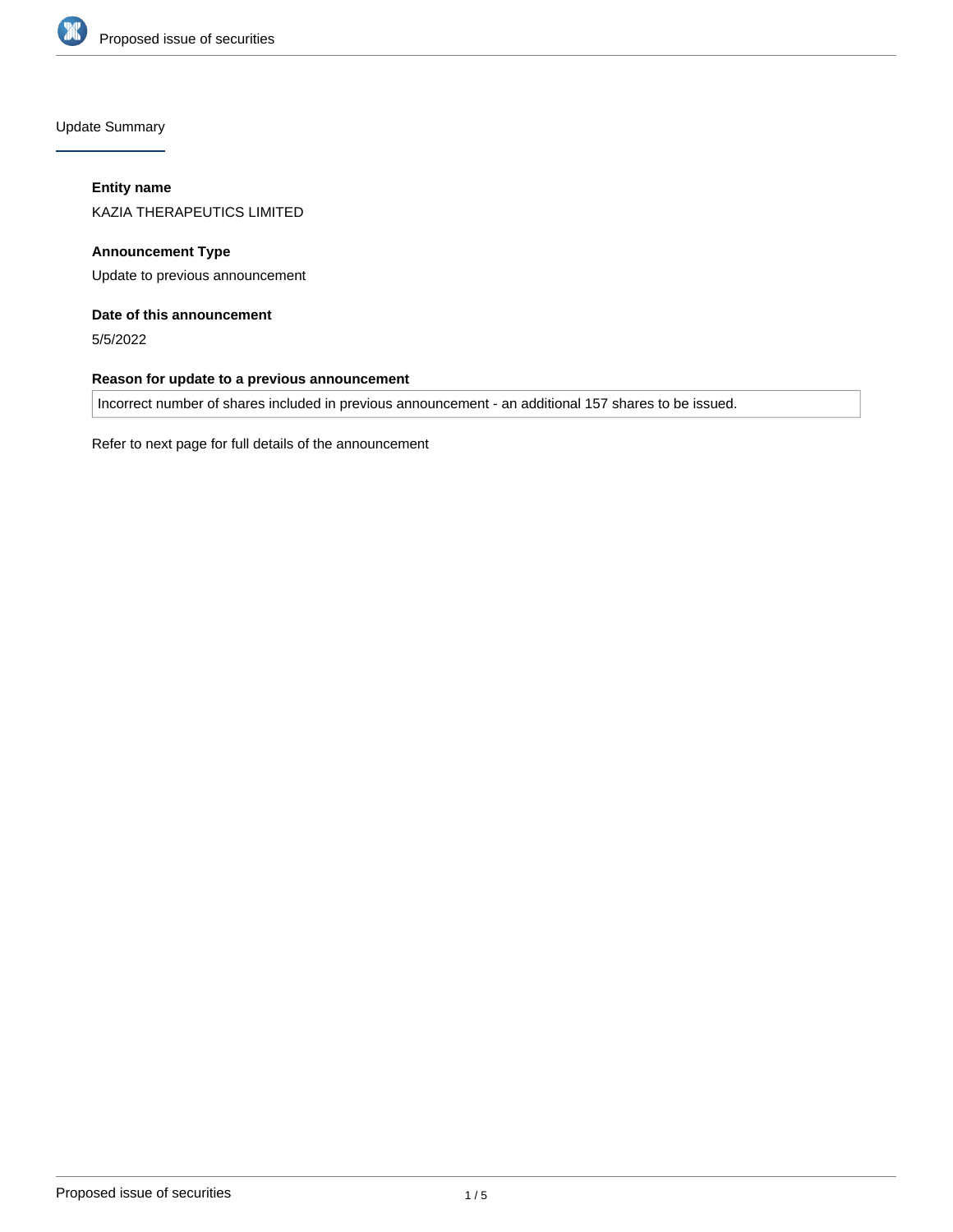

Update Summary

# **Entity name**

KAZIA THERAPEUTICS LIMITED

**Announcement Type** Update to previous announcement

# **Date of this announcement**

5/5/2022

# **Reason for update to a previous announcement**

Incorrect number of shares included in previous announcement - an additional 157 shares to be issued.

Refer to next page for full details of the announcement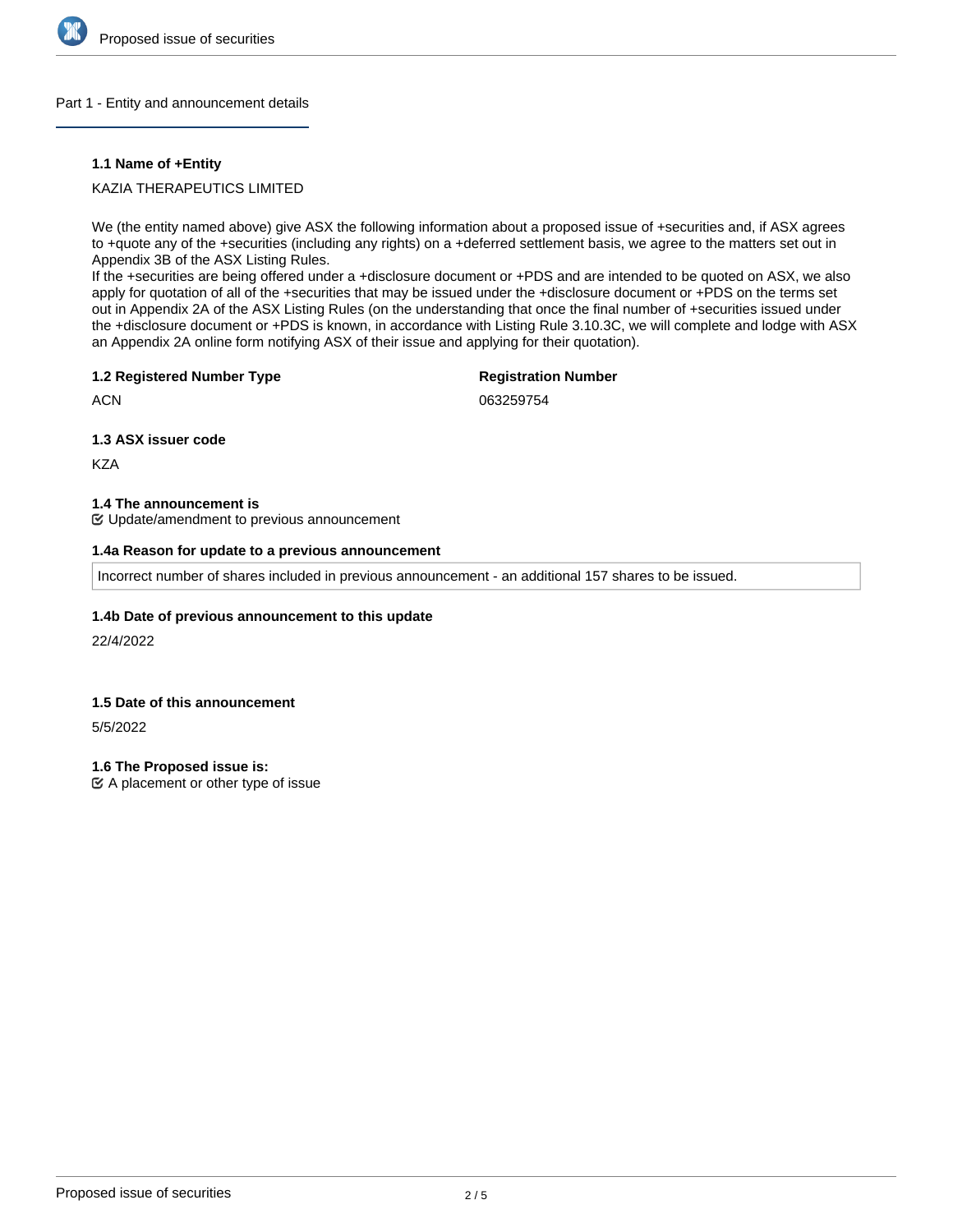

### Part 1 - Entity and announcement details

## **1.1 Name of +Entity**

# KAZIA THERAPEUTICS LIMITED

We (the entity named above) give ASX the following information about a proposed issue of +securities and, if ASX agrees to +quote any of the +securities (including any rights) on a +deferred settlement basis, we agree to the matters set out in Appendix 3B of the ASX Listing Rules.

If the +securities are being offered under a +disclosure document or +PDS and are intended to be quoted on ASX, we also apply for quotation of all of the +securities that may be issued under the +disclosure document or +PDS on the terms set out in Appendix 2A of the ASX Listing Rules (on the understanding that once the final number of +securities issued under the +disclosure document or +PDS is known, in accordance with Listing Rule 3.10.3C, we will complete and lodge with ASX an Appendix 2A online form notifying ASX of their issue and applying for their quotation).

## **1.2 Registered Number Type**

# **Registration Number**

**ACN** 

063259754

**1.3 ASX issuer code**

**KZA** 

#### **1.4 The announcement is**

Update/amendment to previous announcement

## **1.4a Reason for update to a previous announcement**

Incorrect number of shares included in previous announcement - an additional 157 shares to be issued.

## **1.4b Date of previous announcement to this update**

22/4/2022

## **1.5 Date of this announcement**

5/5/2022

**1.6 The Proposed issue is:**

 $\mathfrak{C}$  A placement or other type of issue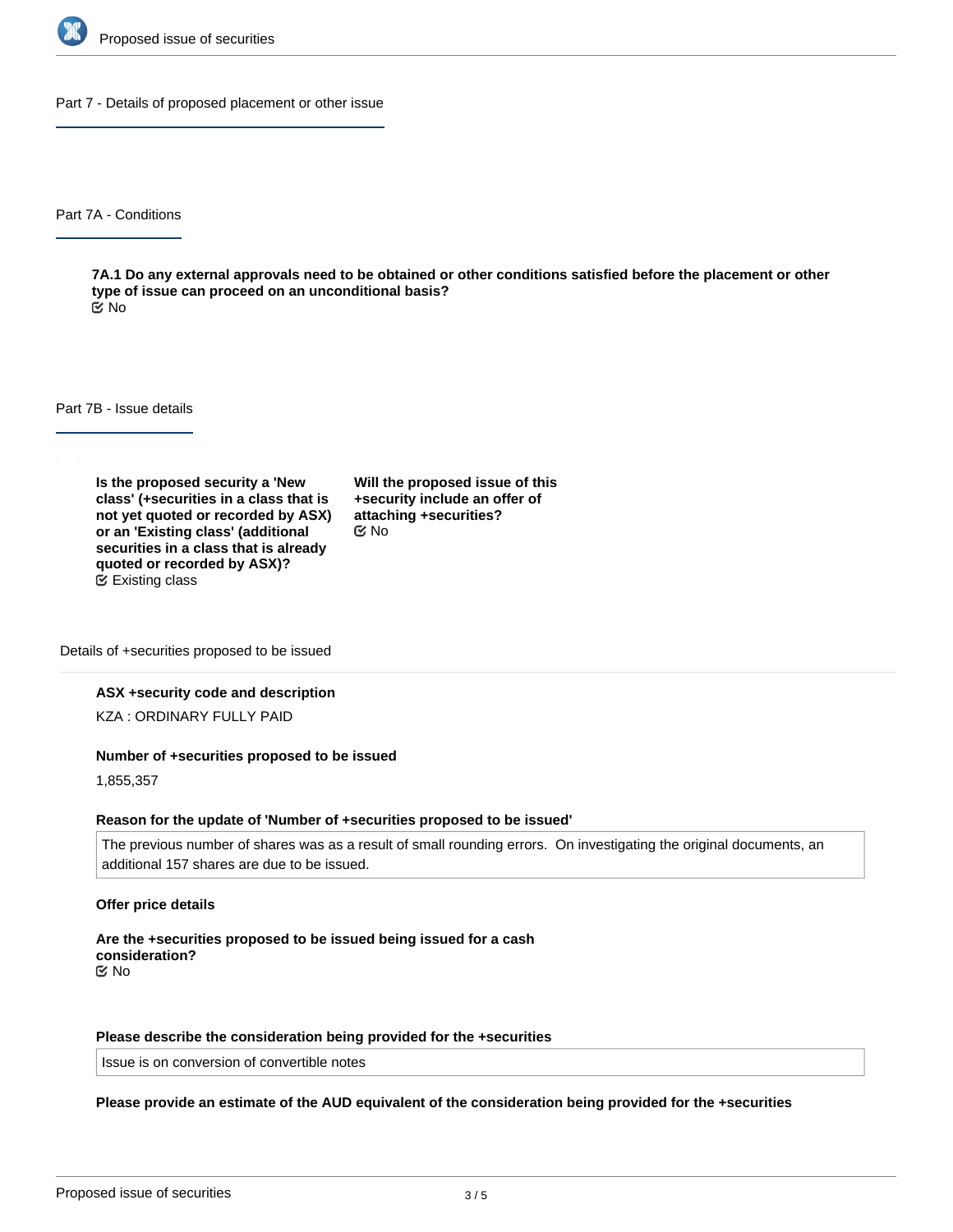

Part 7 - Details of proposed placement or other issue

Part 7A - Conditions

**7A.1 Do any external approvals need to be obtained or other conditions satisfied before the placement or other type of issue can proceed on an unconditional basis?** No

Part 7B - Issue details

**Is the proposed security a 'New class' (+securities in a class that is not yet quoted or recorded by ASX) or an 'Existing class' (additional securities in a class that is already quoted or recorded by ASX)?** Existing class

**Will the proposed issue of this +security include an offer of attaching +securities?** No

Details of +securities proposed to be issued

#### **ASX +security code and description**

KZA : ORDINARY FULLY PAID

#### **Number of +securities proposed to be issued**

1,855,357

#### **Reason for the update of 'Number of +securities proposed to be issued'**

The previous number of shares was as a result of small rounding errors. On investigating the original documents, an additional 157 shares are due to be issued.

#### **Offer price details**

**Are the +securities proposed to be issued being issued for a cash consideration?** No

### **Please describe the consideration being provided for the +securities**

 $\mathcal{M}_{\text{max}}$  , and the securities rank equal respects for all respects for all  $\mathcal{M}_{\text{max}}$  is substituted with

Issue is on conversion of convertible notes

# **Please provide an estimate of the AUD equivalent of the consideration being provided for the +securities**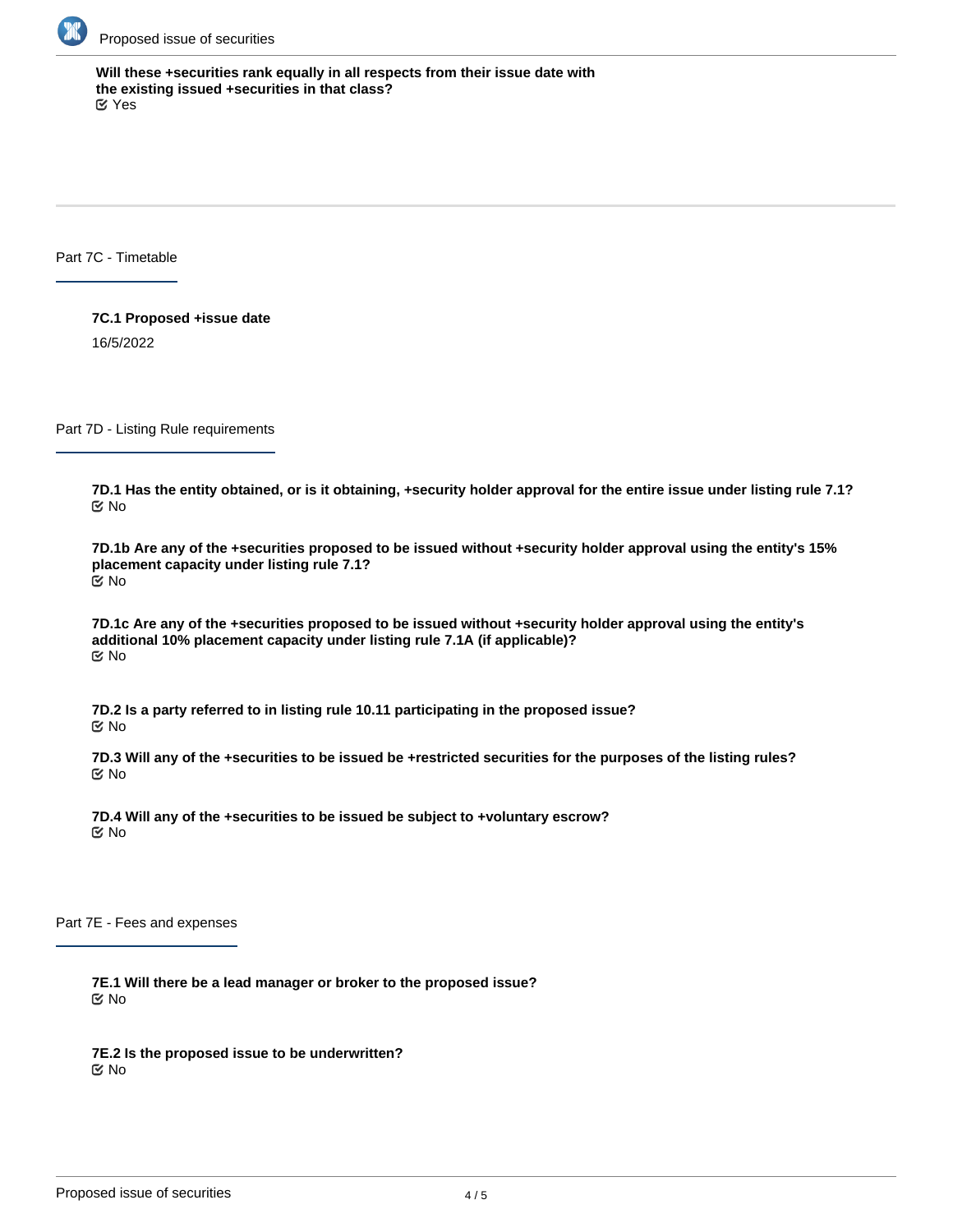

**Will these +securities rank equally in all respects from their issue date with the existing issued +securities in that class?** Yes

Part 7C - Timetable

**7C.1 Proposed +issue date** 16/5/2022

Part 7D - Listing Rule requirements

**7D.1 Has the entity obtained, or is it obtaining, +security holder approval for the entire issue under listing rule 7.1?** No

**7D.1b Are any of the +securities proposed to be issued without +security holder approval using the entity's 15% placement capacity under listing rule 7.1?** No

**7D.1c Are any of the +securities proposed to be issued without +security holder approval using the entity's additional 10% placement capacity under listing rule 7.1A (if applicable)?** No

**7D.2 Is a party referred to in listing rule 10.11 participating in the proposed issue?** No

**7D.3 Will any of the +securities to be issued be +restricted securities for the purposes of the listing rules?** No

**7D.4 Will any of the +securities to be issued be subject to +voluntary escrow?** No

Part 7E - Fees and expenses

**7E.1 Will there be a lead manager or broker to the proposed issue?** No

**7E.2 Is the proposed issue to be underwritten?** No